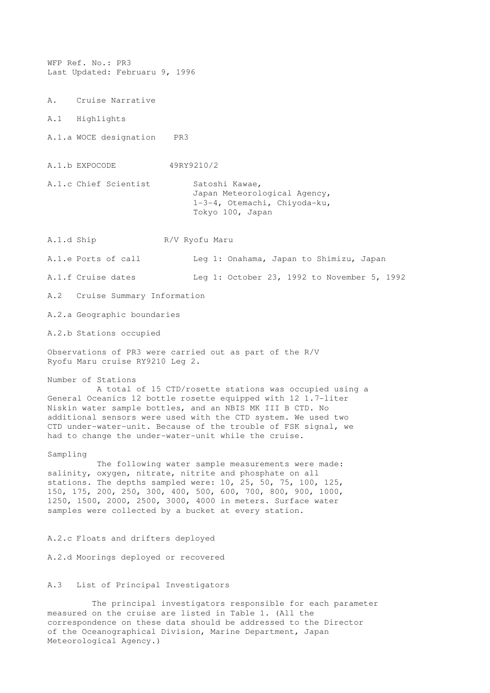WFP Ref. No.: PR3 Last Updated: Februaru 9, 1996 A. Cruise Narrative A.1 Highlights A.1.a WOCE designation PR3 A.1.b EXPOCODE 49RY9210/2 A.1.c Chief Scientist Satoshi Kawae, Japan Meteorological Agency, 1-3-4, Otemachi, Chiyoda-ku, Tokyo 100, Japan A.1.d Ship R/V Ryofu Maru A.1.e Ports of call Leg 1: Onahama, Japan to Shimizu, Japan A.1.f Cruise dates Leg 1: October 23, 1992 to November 5, 1992 A.2 Cruise Summary Information A.2.a Geographic boundaries A.2.b Stations occupied Observations of PR3 were carried out as part of the R/V Ryofu Maru cruise RY9210 Leg 2. Number of Stations A total of 15 CTD/rosette stations was occupied using a General Oceanics 12 bottle rosette equipped with 12 1.7-liter Niskin water sample bottles, and an NBIS MK III B CTD. No additional sensors were used with the CTD system. We used two CTD under-water-unit. Because of the trouble of FSK signal, we had to change the under-water-unit while the cruise. Sampling The following water sample measurements were made: salinity, oxygen, nitrate, nitrite and phosphate on all stations. The depths sampled were: 10, 25, 50, 75, 100, 125, 150, 175, 200, 250, 300, 400, 500, 600, 700, 800, 900, 1000, 1250, 1500, 2000, 2500, 3000, 4000 in meters. Surface water samples were collected by a bucket at every station. A.2.c Floats and drifters deployed

A.2.d Moorings deployed or recovered

## A.3 List of Principal Investigators

 The principal investigators responsible for each parameter measured on the cruise are listed in Table 1. (All the correspondence on these data should be addressed to the Director of the Oceanographical Division, Marine Department, Japan Meteorological Agency.)